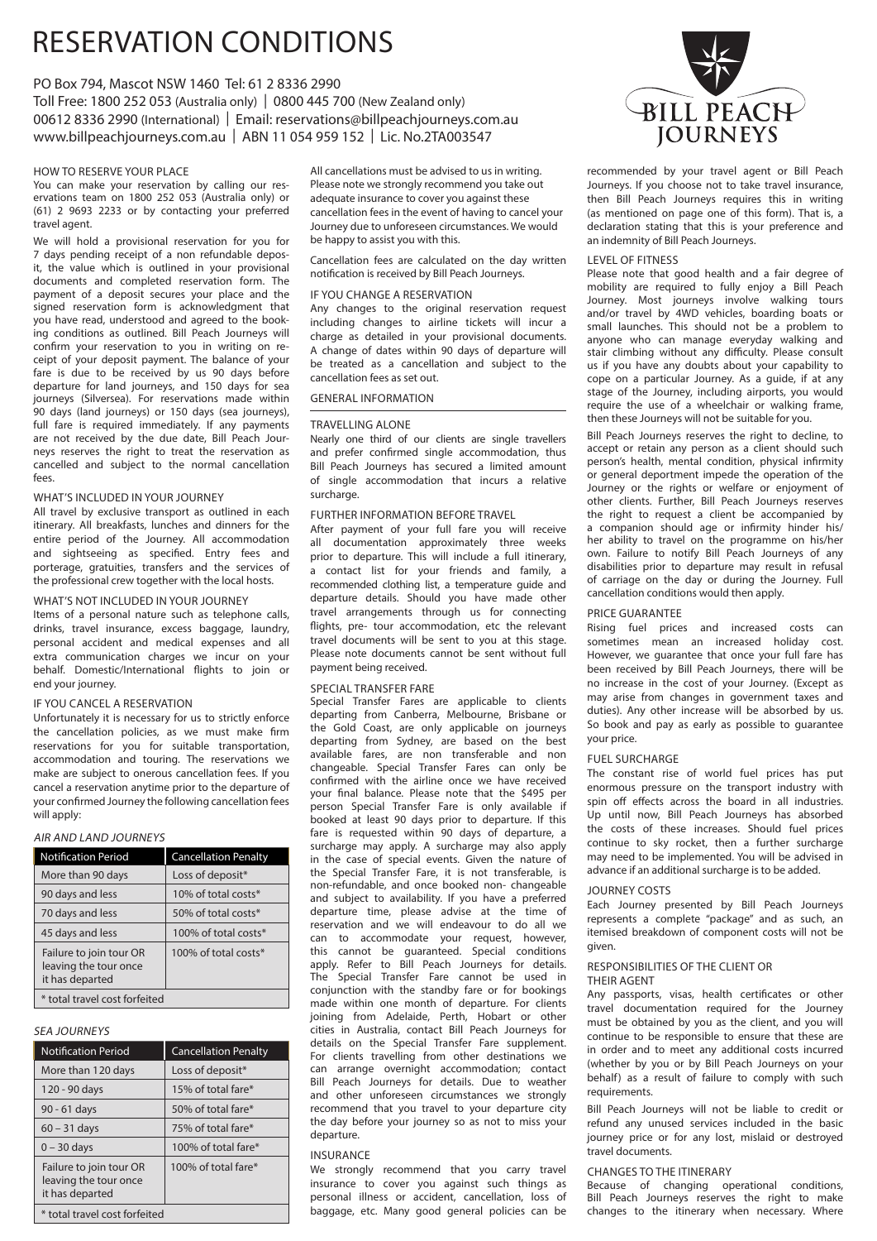# RESERVATION CONDITIONS

# PO Box 794, Mascot NSW 1460 Tel: 61 2 8336 2990

Toll Free: 1800 252 053 (Australia only) | 0800 445 700 (New Zealand only) 00612 8336 2990 (International) | Email: reservations@billpeachjourneys.com.au www.billpeachjourneys.com.au | ABN 11 054 959 152 | Lic. No.2TA003547

# HOW TO RESERVE YOUR PLACE

You can make your reservation by calling our reservations team on 1800 252 053 (Australia only) or (61) 2 9693 2233 or by contacting your preferred travel agent.

We will hold a provisional reservation for you for 7 days pending receipt of a non refundable deposit, the value which is outlined in your provisional documents and completed reservation form. The payment of a deposit secures your place and the signed reservation form is acknowledgment that you have read, understood and agreed to the booking conditions as outlined. Bill Peach Journeys will confirm your reservation to you in writing on receipt of your deposit payment. The balance of your fare is due to be received by us 90 days before departure for land journeys, and 150 days for sea journeys (Silversea). For reservations made within 90 days (land journeys) or 150 days (sea journeys), full fare is required immediately. If any payments are not received by the due date, Bill Peach Journeys reserves the right to treat the reservation as cancelled and subject to the normal cancellation fees.

# WHAT'S INCLUDED IN YOUR JOURNEY

All travel by exclusive transport as outlined in each itinerary. All breakfasts, lunches and dinners for the entire period of the Journey. All accommodation and sightseeing as specified. Entry fees and porterage, gratuities, transfers and the services of the professional crew together with the local hosts.

# WHAT'S NOT INCLUDED IN YOUR JOURNEY

Items of a personal nature such as telephone calls, drinks, travel insurance, excess baggage, laundry, personal accident and medical expenses and all extra communication charges we incur on your behalf. Domestic/International flights to join or end your journey.

## IF YOU CANCEL A RESERVATION

Unfortunately it is necessary for us to strictly enforce the cancellation policies, as we must make firm reservations for you for suitable transportation, accommodation and touring. The reservations we make are subject to onerous cancellation fees. If you cancel a reservation anytime prior to the departure of your confirmed Journey the following cancellation fees will apply:

# AIR AND LAND JOURNEYS

| <b>Notification Period</b>                                          | <b>Cancellation Penalty</b> |
|---------------------------------------------------------------------|-----------------------------|
| More than 90 days                                                   | Loss of deposit*            |
| 90 days and less                                                    | 10% of total costs*         |
| 70 days and less                                                    | 50% of total costs*         |
| 45 days and less                                                    | 100% of total costs*        |
| Failure to join tour OR<br>leaving the tour once<br>it has departed | 100% of total costs*        |
| * total travel cost forfeited                                       |                             |

# SEA JOURNEYS

| <b>Notification Period</b>                                          | <b>Cancellation Penalty</b> |
|---------------------------------------------------------------------|-----------------------------|
| More than 120 days                                                  | Loss of deposit*            |
| 120 - 90 days                                                       | 15% of total fare*          |
| 90 - 61 days                                                        | 50% of total fare*          |
| $60 - 31$ days                                                      | 75% of total fare*          |
| $0 - 30$ days                                                       | 100% of total fare*         |
| Failure to join tour OR<br>leaving the tour once<br>it has departed | 100% of total fare*         |
| * total travel cost forfeited                                       |                             |

All cancellations must be advised to us in writing. Please note we strongly recommend you take out adequate insurance to cover you against these cancellation fees in the event of having to cancel your Journey due to unforeseen circumstances. We would be happy to assist you with this.

Cancellation fees are calculated on the day written notification is received by Bill Peach Journeys.

#### IF YOU CHANGE A RESERVATION

Any changes to the original reservation request including changes to airline tickets will incur a charge as detailed in your provisional documents. A change of dates within 90 days of departure will be treated as a cancellation and subject to the cancellation fees as set out.

# GENERAL INFORMATION

### TRAVELLING ALONE

Nearly one third of our clients are single travellers and prefer confirmed single accommodation, thus Bill Peach Journeys has secured a limited amount of single accommodation that incurs a relative surcharge.

# FURTHER INFORMATION BEFORE TRAVEL

After payment of your full fare you will receive all documentation approximately three weeks prior to departure. This will include a full itinerary, a contact list for your friends and family, a recommended clothing list, a temperature guide and departure details. Should you have made other travel arrangements through us for connecting flights, pre- tour accommodation, etc the relevant travel documents will be sent to you at this stage. Please note documents cannot be sent without full payment being received.

#### SPECIAL TRANSFER FARE

Special Transfer Fares are applicable to clients departing from Canberra, Melbourne, Brisbane or the Gold Coast, are only applicable on journeys departing from Sydney, are based on the best available fares, are non transferable and non changeable. Special Transfer Fares can only be confirmed with the airline once we have received your final balance. Please note that the \$495 per person Special Transfer Fare is only available if booked at least 90 days prior to departure. If this fare is requested within 90 days of departure, a surcharge may apply. A surcharge may also apply in the case of special events. Given the nature of the Special Transfer Fare, it is not transferable, is non-refundable, and once booked non- changeable and subject to availability. If you have a preferred departure time, please advise at the time of reservation and we will endeavour to do all we can to accommodate your request, however, this cannot be guaranteed. Special conditions apply. Refer to Bill Peach Journeys for details. The Special Transfer Fare cannot be used in conjunction with the standby fare or for bookings made within one month of departure. For clients joining from Adelaide, Perth, Hobart or other cities in Australia, contact Bill Peach Journeys for details on the Special Transfer Fare supplement. For clients travelling from other destinations we can arrange overnight accommodation; contact Bill Peach Journeys for details. Due to weather and other unforeseen circumstances we strongly recommend that you travel to your departure city the day before your journey so as not to miss your departure.

# INSURANCE

We strongly recommend that you carry travel insurance to cover you against such things as personal illness or accident, cancellation, loss of baggage, etc. Many good general policies can be



recommended by your travel agent or Bill Peach Journeys. If you choose not to take travel insurance, then Bill Peach Journeys requires this in writing (as mentioned on page one of this form). That is, a declaration stating that this is your preference and an indemnity of Bill Peach Journeys.

### LEVEL OF FITNESS

Please note that good health and a fair degree of mobility are required to fully enjoy a Bill Peach Journey. Most journeys involve walking tours and/or travel by 4WD vehicles, boarding boats or small launches. This should not be a problem to anyone who can manage everyday walking and stair climbing without any difficulty. Please consult us if you have any doubts about your capability to cope on a particular Journey. As a guide, if at any stage of the Journey, including airports, you would require the use of a wheelchair or walking frame, then these Journeys will not be suitable for you.

Bill Peach Journeys reserves the right to decline, to accept or retain any person as a client should such person's health, mental condition, physical infirmity or general deportment impede the operation of the Journey or the rights or welfare or enjoyment of other clients. Further, Bill Peach Journeys reserves the right to request a client be accompanied by a companion should age or infirmity hinder his/ her ability to travel on the programme on his/her own. Failure to notify Bill Peach Journeys of any disabilities prior to departure may result in refusal of carriage on the day or during the Journey. Full cancellation conditions would then apply.

# PRICE GUARANTEE

Rising fuel prices and increased costs can sometimes mean an increased holiday cost. However, we guarantee that once your full fare has been received by Bill Peach Journeys, there will be no increase in the cost of your Journey. (Except as may arise from changes in government taxes and duties). Any other increase will be absorbed by us. So book and pay as early as possible to guarantee your price.

#### FUEL SURCHARGE

The constant rise of world fuel prices has put enormous pressure on the transport industry with spin off effects across the board in all industries. Up until now, Bill Peach Journeys has absorbed the costs of these increases. Should fuel prices continue to sky rocket, then a further surcharge may need to be implemented. You will be advised in advance if an additional surcharge is to be added.

#### JOURNEY COSTS

Each Journey presented by Bill Peach Journeys represents a complete "package" and as such, an itemised breakdown of component costs will not be given.

#### RESPONSIBILITIES OF THE CLIENT OR THEIR AGENT

Any passports, visas, health certificates or other travel documentation required for the Journey must be obtained by you as the client, and you will continue to be responsible to ensure that these are in order and to meet any additional costs incurred (whether by you or by Bill Peach Journeys on your behalf) as a result of failure to comply with such requirements.

Bill Peach Journeys will not be liable to credit or refund any unused services included in the basic journey price or for any lost, mislaid or destroyed travel documents.

# CHANGES TO THE ITINERARY

Because of changing operational conditions, Bill Peach Journeys reserves the right to make changes to the itinerary when necessary. Where